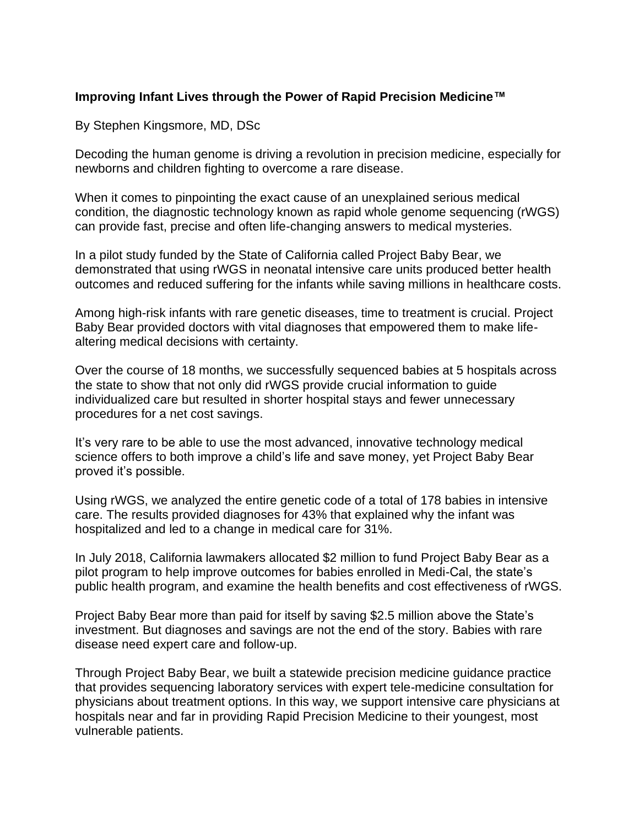## **Improving Infant Lives through the Power of Rapid Precision Medicine™**

By Stephen Kingsmore, MD, DSc

Decoding the human genome is driving a revolution in precision medicine, especially for newborns and children fighting to overcome a rare disease.

When it comes to pinpointing the exact cause of an unexplained serious medical condition, the diagnostic technology known as rapid whole genome sequencing (rWGS) can provide fast, precise and often life-changing answers to medical mysteries.

In a pilot study funded by the State of California called Project Baby Bear, we demonstrated that using rWGS in neonatal intensive care units produced better health outcomes and reduced suffering for the infants while saving millions in healthcare costs.

Among high-risk infants with rare genetic diseases, time to treatment is crucial. Project Baby Bear provided doctors with vital diagnoses that empowered them to make lifealtering medical decisions with certainty.

Over the course of 18 months, we successfully sequenced babies at 5 hospitals across the state to show that not only did rWGS provide crucial information to guide individualized care but resulted in shorter hospital stays and fewer unnecessary procedures for a net cost savings.

It's very rare to be able to use the most advanced, innovative technology medical science offers to both improve a child's life and save money, yet Project Baby Bear proved it's possible.

Using rWGS, we analyzed the entire genetic code of a total of 178 babies in intensive care. The results provided diagnoses for 43% that explained why the infant was hospitalized and led to a change in medical care for 31%.

In July 2018, California lawmakers allocated \$2 million to fund Project Baby Bear as a pilot program to help improve outcomes for babies enrolled in Medi-Cal, the state's public health program, and examine the health benefits and cost effectiveness of rWGS.

Project Baby Bear more than paid for itself by saving \$2.5 million above the State's investment. But diagnoses and savings are not the end of the story. Babies with rare disease need expert care and follow-up.

Through Project Baby Bear, we built a statewide precision medicine guidance practice that provides sequencing laboratory services with expert tele-medicine consultation for physicians about treatment options. In this way, we support intensive care physicians at hospitals near and far in providing Rapid Precision Medicine to their youngest, most vulnerable patients.